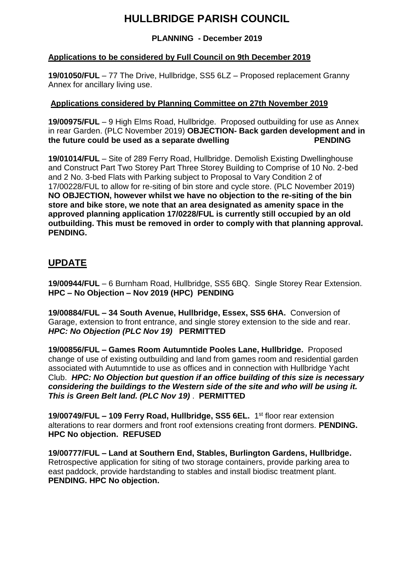# **HULLBRIDGE PARISH COUNCIL**

### **PLANNING - December 2019**

### **Applications to be considered by Full Council on 9th December 2019**

**19/01050/FUL** – 77 The Drive, Hullbridge, SS5 6LZ – Proposed replacement Granny Annex for ancillary living use.

#### **Applications considered by Planning Committee on 27th November 2019**

**19/00975/FUL** – 9 High Elms Road, Hullbridge. Proposed outbuilding for use as Annex in rear Garden. (PLC November 2019) **OBJECTION- Back garden development and in**  the future could be used as a separate dwelling **PENDING** 

**19/01014/FUL** – Site of 289 Ferry Road, Hullbridge. Demolish Existing Dwellinghouse and Construct Part Two Storey Part Three Storey Building to Comprise of 10 No. 2-bed and 2 No. 3-bed Flats with Parking subject to Proposal to Vary Condition 2 of 17/00228/FUL to allow for re-siting of bin store and cycle store. (PLC November 2019) **NO OBJECTION, however whilst we have no objection to the re-siting of the bin store and bike store, we note that an area designated as amenity space in the approved planning application 17/0228/FUL is currently still occupied by an old outbuilding. This must be removed in order to comply with that planning approval. PENDING.**

## **UPDATE**

**19/00944/FUL** – 6 Burnham Road, Hullbridge, SS5 6BQ. Single Storey Rear Extension. **HPC – No Objection – Nov 2019 (HPC) PENDING**

**19/00884/FUL – 34 South Avenue, Hullbridge, Essex, SS5 6HA.** Conversion of Garage, extension to front entrance, and single storey extension to the side and rear. *HPC: No Objection (PLC Nov 19)* **PERMITTED**

**19/00856/FUL – Games Room Autumntide Pooles Lane, Hullbridge.** Proposed change of use of existing outbuilding and land from games room and residential garden associated with Autumntide to use as offices and in connection with Hullbridge Yacht Club. *HPC: No Objection but question if an office building of this size is necessary considering the buildings to the Western side of the site and who will be using it. This is Green Belt land. (PLC Nov 19)* . **PERMITTED**

**19/00749/FUL – 109 Ferry Road, Hullbridge, SS5 6EL.** 1 st floor rear extension alterations to rear dormers and front roof extensions creating front dormers. **PENDING. HPC No objection. REFUSED**

**19/00777/FUL – Land at Southern End, Stables, Burlington Gardens, Hullbridge.**  Retrospective application for siting of two storage containers, provide parking area to east paddock, provide hardstanding to stables and install biodisc treatment plant. **PENDING. HPC No objection.**